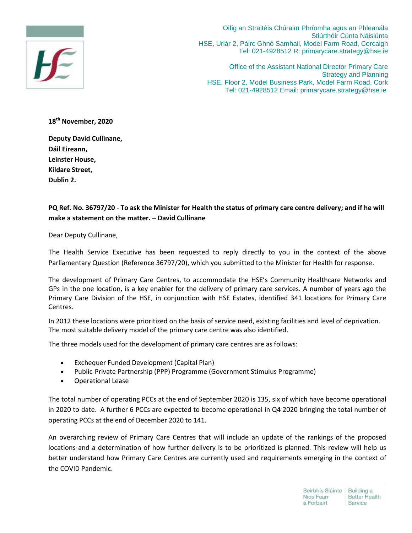

Oifig an Straitéis Chúraim Phríomha agus an Phleanála Stiúrthóir Cúnta Náisiúnta HSE, Urlár 2, Páirc Ghnó Samhail, Model Farm Road, Corcaigh Tel: 021-4928512 R: primarycare.strategy@hse.ie

Office of the Assistant National Director Primary Care Strategy and Planning HSE, Floor 2, Model Business Park, Model Farm Road, Cork Tel: 021-4928512 Email: primarycare.strategy@hse.ie

**18th November, 2020**

**Deputy David Cullinane, Dáil Eireann, Leinster House, Kildare Street, Dublin 2.**

## **PQ Ref. No. 36797/20** - **To ask the Minister for Health the status of primary care centre delivery; and if he will make a statement on the matter. – David Cullinane**

Dear Deputy Cullinane,

The Health Service Executive has been requested to reply directly to you in the context of the above Parliamentary Question (Reference 36797/20), which you submitted to the Minister for Health for response.

The development of Primary Care Centres, to accommodate the HSE's Community Healthcare Networks and GPs in the one location, is a key enabler for the delivery of primary care services. A number of years ago the Primary Care Division of the HSE, in conjunction with HSE Estates, identified 341 locations for Primary Care Centres.

In 2012 these locations were prioritized on the basis of service need, existing facilities and level of deprivation. The most suitable delivery model of the primary care centre was also identified.

The three models used for the development of primary care centres are as follows:

- Exchequer Funded Development (Capital Plan)
- Public-Private Partnership (PPP) Programme (Government Stimulus Programme)
- Operational Lease

The total number of operating PCCs at the end of September 2020 is 135, six of which have become operational in 2020 to date. A further 6 PCCs are expected to become operational in Q4 2020 bringing the total number of operating PCCs at the end of December 2020 to 141.

An overarching review of Primary Care Centres that will include an update of the rankings of the proposed locations and a determination of how further delivery is to be prioritized is planned. This review will help us better understand how Primary Care Centres are currently used and requirements emerging in the context of the COVID Pandemic.